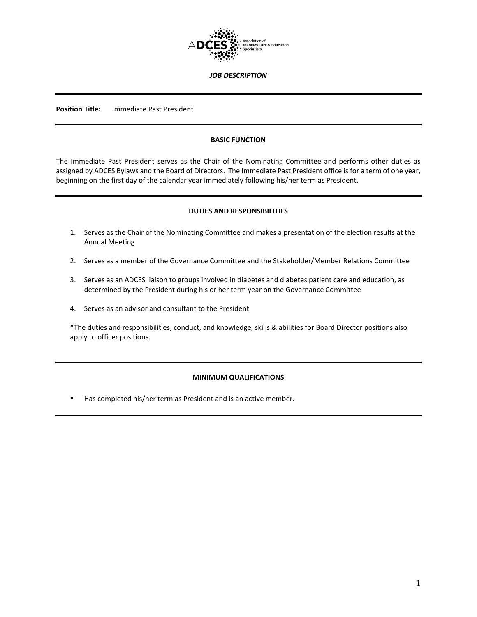

*JOB DESCRIPTION*

**Position Title:** Immediate Past President

## **BASIC FUNCTION**

The Immediate Past President serves as the Chair of the Nominating Committee and performs other duties as assigned by ADCES Bylaws and the Board of Directors. The Immediate Past President office is for a term of one year, beginning on the first day of the calendar year immediately following his/her term as President.

## **DUTIES AND RESPONSIBILITIES**

- 1. Serves as the Chair of the Nominating Committee and makes a presentation of the election results at the Annual Meeting
- 2. Serves as a member of the Governance Committee and the Stakeholder/Member Relations Committee
- 3. Serves as an ADCES liaison to groups involved in diabetes and diabetes patient care and education, as determined by the President during his or her term year on the Governance Committee
- 4. Serves as an advisor and consultant to the President

\*The duties and responsibilities, conduct, and knowledge, skills & abilities for Board Director positions also apply to officer positions.

#### **MINIMUM QUALIFICATIONS**

Has completed his/her term as President and is an active member.